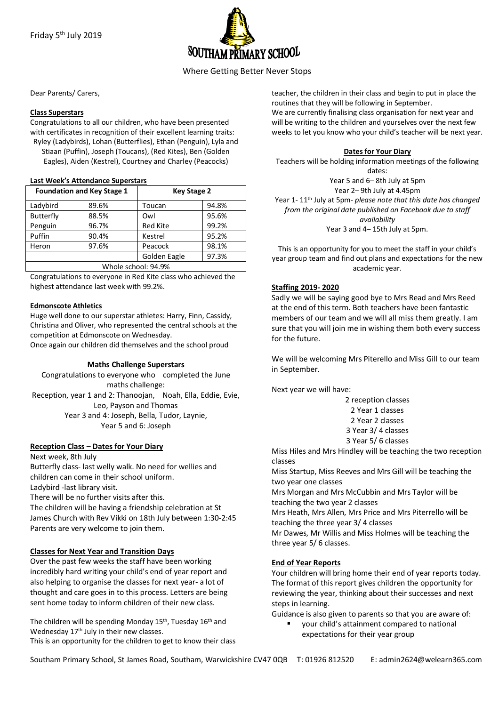

# Where Getting Better Never Stops

Dear Parents/ Carers,

### **Class Superstars**

Congratulations to all our children, who have been presented with certificates in recognition of their excellent learning traits: Ryley (Ladybirds), Lohan (Butterflies), Ethan (Penguin), Lyla and Stiaan (Puffin), Joseph (Toucans), (Red Kites), Ben (Golden Eagles), Aiden (Kestrel), Courtney and Charley (Peacocks)

### **Last Week's Attendance Superstars**

| <b>Foundation and Key Stage 1</b> |       | <b>Key Stage 2</b> |       |
|-----------------------------------|-------|--------------------|-------|
| Ladybird                          | 89.6% | Toucan             | 94.8% |
| <b>Butterfly</b>                  | 88.5% | Owl                | 95.6% |
| Penguin                           | 96.7% | <b>Red Kite</b>    | 99.2% |
| Puffin                            | 90.4% | Kestrel            | 95.2% |
| Heron                             | 97.6% | Peacock            | 98.1% |
|                                   |       | Golden Eagle       | 97.3% |
| Whole school: 94.9%               |       |                    |       |

Congratulations to everyone in Red Kite class who achieved the highest attendance last week with 99.2%.

## **Edmonscote Athletics**

Huge well done to our superstar athletes: Harry, Finn, Cassidy, Christina and Oliver, who represented the central schools at the competition at Edmonscote on Wednesday.

Once again our children did themselves and the school proud

### **Maths Challenge Superstars**

Congratulations to everyone who completed the June maths challenge: Reception, year 1 and 2: Thanoojan, Noah, Ella, Eddie, Evie, Leo, Payson and Thomas

Year 3 and 4: Joseph, Bella, Tudor, Laynie, Year 5 and 6: Joseph

## **Reception Class – Dates for Your Diary**

Next week, 8th July Butterfly class- last welly walk. No need for wellies and children can come in their school uniform. Ladybird -last library visit.

There will be no further visits after this. The children will be having a friendship celebration at St James Church with Rev Vikki on 18th July between 1:30-2:45 Parents are very welcome to join them.

## **Classes for Next Year and Transition Days**

Over the past few weeks the staff have been working incredibly hard writing your child's end of year report and also helping to organise the classes for next year- a lot of thought and care goes in to this process. Letters are being sent home today to inform children of their new class.

The children will be spending Monday  $15<sup>th</sup>$ , Tuesday  $16<sup>th</sup>$  and Wednesday 17<sup>th</sup> July in their new classes. This is an opportunity for the children to get to know their class teacher, the children in their class and begin to put in place the routines that they will be following in September. We are currently finalising class organisation for next year and will be writing to the children and yourselves over the next few weeks to let you know who your child's teacher will be next year.

### **Dates for Your Diary**

Teachers will be holding information meetings of the following dates:

Year 5 and 6– 8th July at 5pm Year 2– 9th July at 4.45pm Year 1- 11th July at 5pm- *please note that this date has changed from the original date published on Facebook due to staff availability* Year 3 and 4– 15th July at 5pm.

This is an opportunity for you to meet the staff in your child's year group team and find out plans and expectations for the new academic year.

## **Staffing 2019- 2020**

Sadly we will be saying good bye to Mrs Read and Mrs Reed at the end of this term. Both teachers have been fantastic members of our team and we will all miss them greatly. I am sure that you will join me in wishing them both every success for the future.

We will be welcoming Mrs Piterello and Miss Gill to our team in September.

Next year we will have:

2 reception classes 2 Year 1 classes 2 Year 2 classes 3 Year 3/ 4 classes 3 Year 5/ 6 classes

Miss Hiles and Mrs Hindley will be teaching the two reception classes

Miss Startup, Miss Reeves and Mrs Gill will be teaching the two year one classes

Mrs Morgan and Mrs McCubbin and Mrs Taylor will be teaching the two year 2 classes

Mrs Heath, Mrs Allen, Mrs Price and Mrs Piterrello will be teaching the three year 3/ 4 classes

Mr Dawes, Mr Willis and Miss Holmes will be teaching the three year 5/ 6 classes.

## **End of Year Reports**

Your children will bring home their end of year reports today. The format of this report gives children the opportunity for reviewing the year, thinking about their successes and next steps in learning.

Guidance is also given to parents so that you are aware of:

§ your child's attainment compared to national expectations for their year group